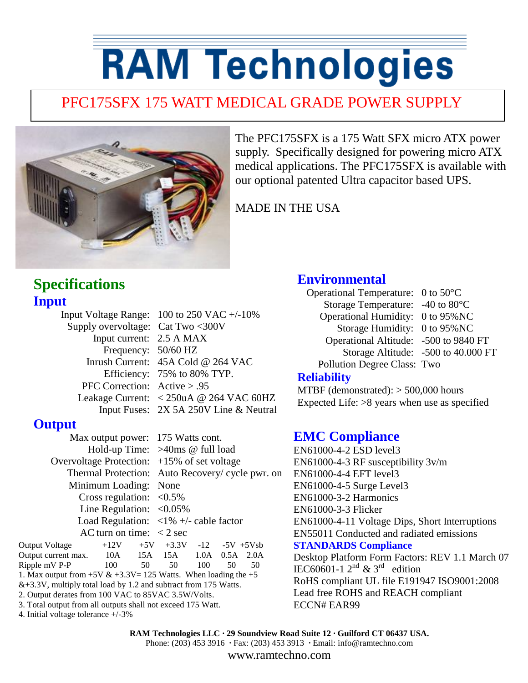# **RAM Technologies**

# PFC175SFX 175 WATT MEDICAL GRADE POWER SUPPLY



The PFC175SFX is a 175 Watt SFX micro ATX power supply. Specifically designed for powering micro ATX medical applications. The PFC175SFX is available with our optional patented Ultra capacitor based UPS.

MADE IN THE USA

# **Specifications Input**

|                                   | Input Voltage Range: $100$ to 250 VAC $+/-10\%$                                        |
|-----------------------------------|----------------------------------------------------------------------------------------|
| Supply overvoltage: Cat Two <300V |                                                                                        |
| Input current: 2.5 A MAX          |                                                                                        |
| Frequency: 50/60 HZ               |                                                                                        |
|                                   | Inrush Current: 45A Cold @ 264 VAC                                                     |
|                                   | Efficiency: 75% to 80% TYP.                                                            |
| PFC Correction: $Active > .95$    |                                                                                        |
|                                   | Leakage Current: $\langle 250 \text{uA} \otimes 264 \text{ VAC } 60 \text{HZ} \rangle$ |
|                                   | Input Fuses: 2X 5A 250V Line & Neutral                                                 |
|                                   |                                                                                        |

### **Output**

Max output power: 175 Watts cont. Hold-up Time: >40ms @ full load Overvoltage Protection: +15% of set voltage Thermal Protection: Auto Recovery/ cycle pwr. on Minimum Loading: None Cross regulation:  $\langle 0.5\%$ Line Regulation:  $\langle 0.05\%$ Load Regulation:  $\langle 1\% + \rangle$ - cable factor AC turn on time:  $\langle 2 \text{ sec} \rangle$ 

Output Voltage  $+12V +5V +3.3V -12 -5V +5V$ sb Output current max. 10A 15A 15A 1.0A 0.5A 2.0A Ripple mV P-P 100 50 50 100 50 50 1. Max output from  $+5V & +3.3V = 125$  Watts. When loading the  $+5$  $&+3.3V$ , multiply total load by 1.2 and subtract from 175 Watts. 2. Output derates from 100 VAC to 85VAC 3.5W/Volts. 3. Total output from all outputs shall not exceed 175 Watt.

4. Initial voltage tolerance +/-3%

# **Environmental**

Operational Temperature: 0 to 50°C Storage Temperature: -40 to 80°C Operational Humidity: 0 to 95%NC Storage Humidity: 0 to 95%NC Operational Altitude: -500 to 9840 FT Storage Altitude: -500 to 40.000 FT Pollution Degree Class: Two

#### **Reliability**

MTBF (demonstrated): > 500,000 hours Expected Life: >8 years when use as specified

# **EMC Compliance**

EN61000-4-2 ESD level3 EN61000-4-3 RF susceptibility 3v/m EN61000-4-4 EFT level3 EN61000-4-5 Surge Level3 EN61000-3-2 Harmonics EN61000-3-3 Flicker EN61000-4-11 Voltage Dips, Short Interruptions EN55011 Conducted and radiated emissions **STANDARDS Compliance** Desktop Platform Form Factors: REV 1.1 March 07 IEC60601-1  $2^{nd}$  & 3<sup>rd</sup> edition RoHS compliant UL file E191947 ISO9001:2008 Lead free ROHS and REACH compliant ECCN# EAR99

**RAM Technologies LLC · 29 Soundview Road Suite 12 · Guilford CT 06437 USA.** Phone: (203) 453 3916 **·** Fax: (203) 453 3913 **·** Email: info@ramtechno.com

www.ramtechno.com